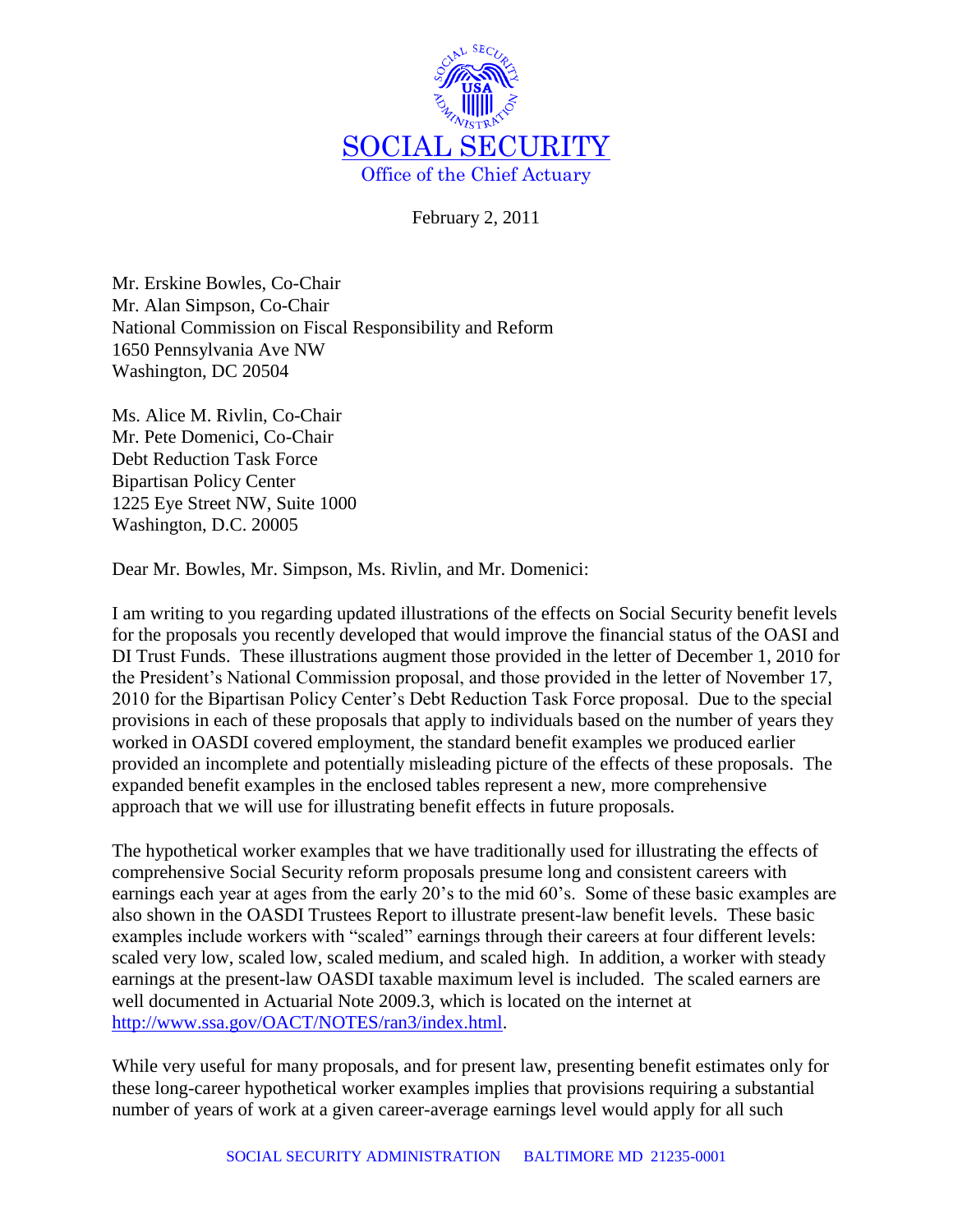

February 2, 2011

Mr. Erskine Bowles, Co-Chair Mr. Alan Simpson, Co-Chair National Commission on Fiscal Responsibility and Reform 1650 Pennsylvania Ave NW Washington, DC 20504

Ms. Alice M. Rivlin, Co-Chair Mr. Pete Domenici, Co-Chair Debt Reduction Task Force Bipartisan Policy Center 1225 Eye Street NW, Suite 1000 Washington, D.C. 20005

Dear Mr. Bowles, Mr. Simpson, Ms. Rivlin, and Mr. Domenici:

I am writing to you regarding updated illustrations of the effects on Social Security benefit levels for the proposals you recently developed that would improve the financial status of the OASI and DI Trust Funds. These illustrations augment those provided in the letter of December 1, 2010 for the President's National Commission proposal, and those provided in the letter of November 17, 2010 for the Bipartisan Policy Center's Debt Reduction Task Force proposal. Due to the special provisions in each of these proposals that apply to individuals based on the number of years they worked in OASDI covered employment, the standard benefit examples we produced earlier provided an incomplete and potentially misleading picture of the effects of these proposals. The expanded benefit examples in the enclosed tables represent a new, more comprehensive approach that we will use for illustrating benefit effects in future proposals.

The hypothetical worker examples that we have traditionally used for illustrating the effects of comprehensive Social Security reform proposals presume long and consistent careers with earnings each year at ages from the early 20's to the mid 60's. Some of these basic examples are also shown in the OASDI Trustees Report to illustrate present-law benefit levels. These basic examples include workers with "scaled" earnings through their careers at four different levels: scaled very low, scaled low, scaled medium, and scaled high. In addition, a worker with steady earnings at the present-law OASDI taxable maximum level is included. The scaled earners are well documented in Actuarial Note 2009.3, which is located on the internet at [http://www.ssa.gov/OACT/NOTES/ran3/index.html.](http://www.ssa.gov/OACT/NOTES/ran3/index.html)

While very useful for many proposals, and for present law, presenting benefit estimates only for these long-career hypothetical worker examples implies that provisions requiring a substantial number of years of work at a given career-average earnings level would apply for all such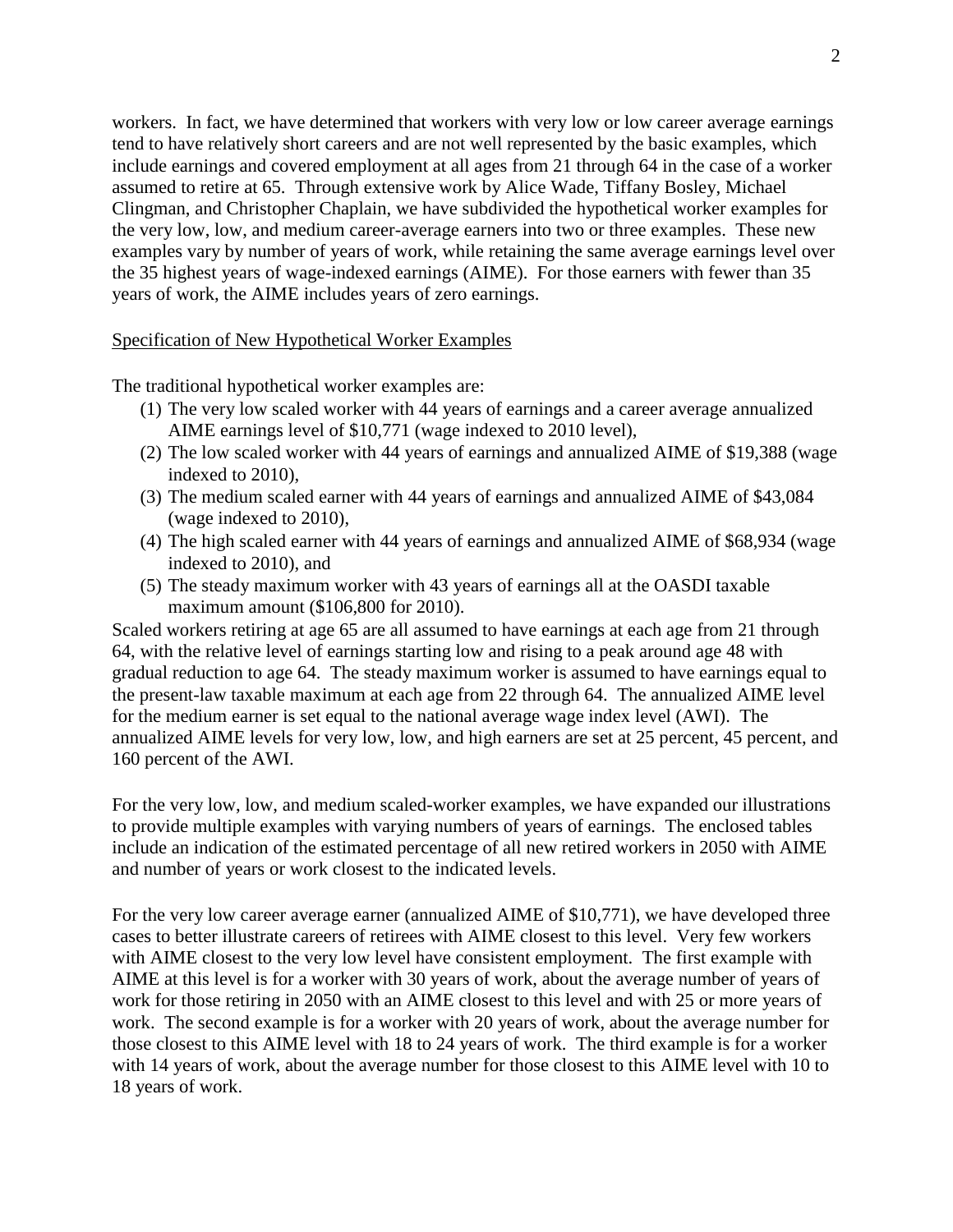workers. In fact, we have determined that workers with very low or low career average earnings tend to have relatively short careers and are not well represented by the basic examples, which include earnings and covered employment at all ages from 21 through 64 in the case of a worker assumed to retire at 65. Through extensive work by Alice Wade, Tiffany Bosley, Michael Clingman, and Christopher Chaplain, we have subdivided the hypothetical worker examples for the very low, low, and medium career-average earners into two or three examples. These new examples vary by number of years of work, while retaining the same average earnings level over the 35 highest years of wage-indexed earnings (AIME). For those earners with fewer than 35 years of work, the AIME includes years of zero earnings.

#### Specification of New Hypothetical Worker Examples

The traditional hypothetical worker examples are:

- (1) The very low scaled worker with 44 years of earnings and a career average annualized AIME earnings level of \$10,771 (wage indexed to 2010 level),
- (2) The low scaled worker with 44 years of earnings and annualized AIME of \$19,388 (wage indexed to 2010),
- (3) The medium scaled earner with 44 years of earnings and annualized AIME of \$43,084 (wage indexed to 2010),
- (4) The high scaled earner with 44 years of earnings and annualized AIME of \$68,934 (wage indexed to 2010), and
- (5) The steady maximum worker with 43 years of earnings all at the OASDI taxable maximum amount (\$106,800 for 2010).

Scaled workers retiring at age 65 are all assumed to have earnings at each age from 21 through 64, with the relative level of earnings starting low and rising to a peak around age 48 with gradual reduction to age 64. The steady maximum worker is assumed to have earnings equal to the present-law taxable maximum at each age from 22 through 64. The annualized AIME level for the medium earner is set equal to the national average wage index level (AWI). The annualized AIME levels for very low, low, and high earners are set at 25 percent, 45 percent, and 160 percent of the AWI.

For the very low, low, and medium scaled-worker examples, we have expanded our illustrations to provide multiple examples with varying numbers of years of earnings. The enclosed tables include an indication of the estimated percentage of all new retired workers in 2050 with AIME and number of years or work closest to the indicated levels.

For the very low career average earner (annualized AIME of \$10,771), we have developed three cases to better illustrate careers of retirees with AIME closest to this level. Very few workers with AIME closest to the very low level have consistent employment. The first example with AIME at this level is for a worker with 30 years of work, about the average number of years of work for those retiring in 2050 with an AIME closest to this level and with 25 or more years of work. The second example is for a worker with 20 years of work, about the average number for those closest to this AIME level with 18 to 24 years of work. The third example is for a worker with 14 years of work, about the average number for those closest to this AIME level with 10 to 18 years of work.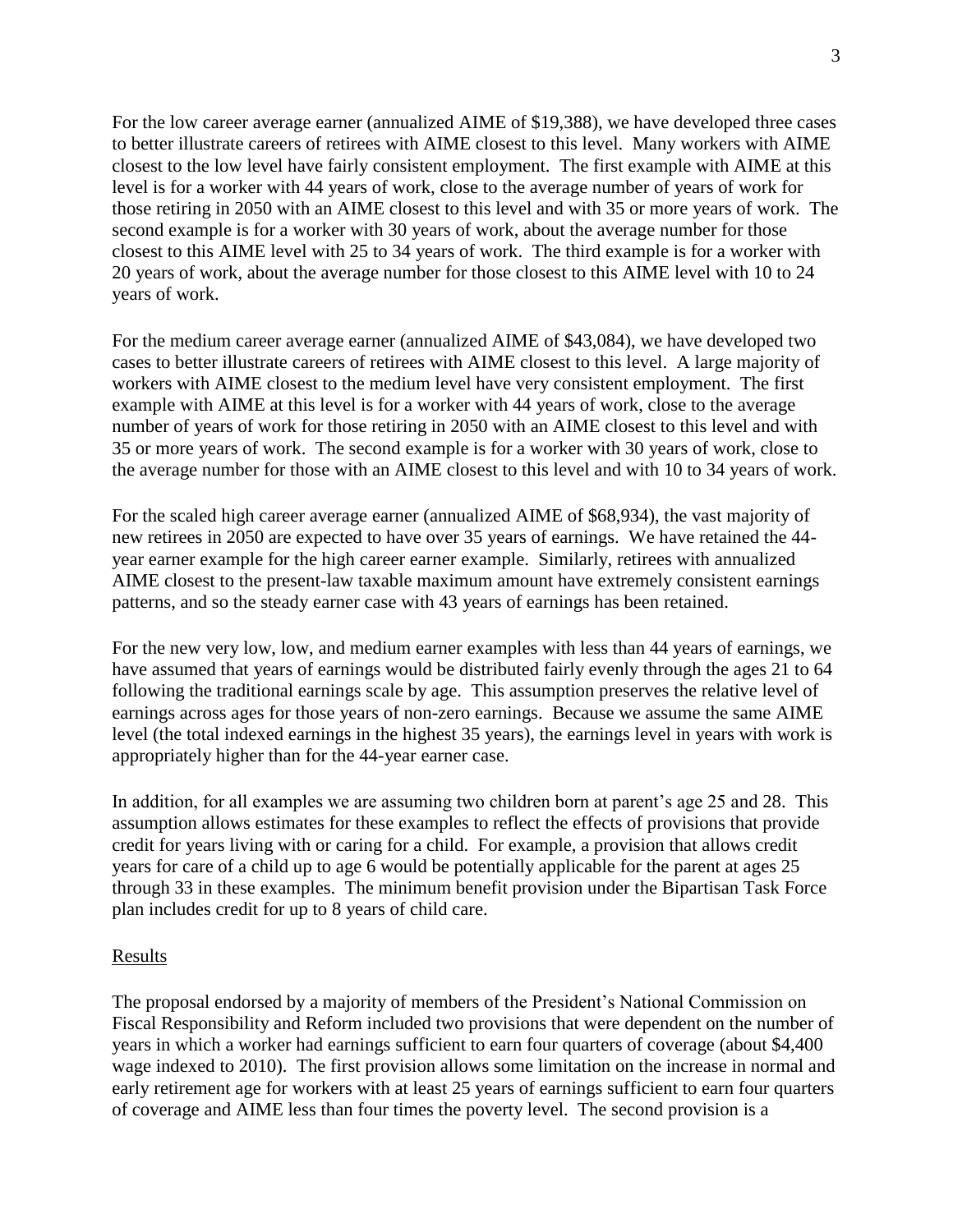For the low career average earner (annualized AIME of \$19,388), we have developed three cases to better illustrate careers of retirees with AIME closest to this level. Many workers with AIME closest to the low level have fairly consistent employment. The first example with AIME at this level is for a worker with 44 years of work, close to the average number of years of work for those retiring in 2050 with an AIME closest to this level and with 35 or more years of work. The second example is for a worker with 30 years of work, about the average number for those closest to this AIME level with 25 to 34 years of work. The third example is for a worker with 20 years of work, about the average number for those closest to this AIME level with 10 to 24 years of work.

For the medium career average earner (annualized AIME of \$43,084), we have developed two cases to better illustrate careers of retirees with AIME closest to this level. A large majority of workers with AIME closest to the medium level have very consistent employment. The first example with AIME at this level is for a worker with 44 years of work, close to the average number of years of work for those retiring in 2050 with an AIME closest to this level and with 35 or more years of work. The second example is for a worker with 30 years of work, close to the average number for those with an AIME closest to this level and with 10 to 34 years of work.

For the scaled high career average earner (annualized AIME of \$68,934), the vast majority of new retirees in 2050 are expected to have over 35 years of earnings. We have retained the 44 year earner example for the high career earner example. Similarly, retirees with annualized AIME closest to the present-law taxable maximum amount have extremely consistent earnings patterns, and so the steady earner case with 43 years of earnings has been retained.

For the new very low, low, and medium earner examples with less than 44 years of earnings, we have assumed that years of earnings would be distributed fairly evenly through the ages 21 to 64 following the traditional earnings scale by age. This assumption preserves the relative level of earnings across ages for those years of non-zero earnings. Because we assume the same AIME level (the total indexed earnings in the highest 35 years), the earnings level in years with work is appropriately higher than for the 44-year earner case.

In addition, for all examples we are assuming two children born at parent's age 25 and 28. This assumption allows estimates for these examples to reflect the effects of provisions that provide credit for years living with or caring for a child. For example, a provision that allows credit years for care of a child up to age 6 would be potentially applicable for the parent at ages 25 through 33 in these examples. The minimum benefit provision under the Bipartisan Task Force plan includes credit for up to 8 years of child care.

## Results

The proposal endorsed by a majority of members of the President's National Commission on Fiscal Responsibility and Reform included two provisions that were dependent on the number of years in which a worker had earnings sufficient to earn four quarters of coverage (about \$4,400 wage indexed to 2010). The first provision allows some limitation on the increase in normal and early retirement age for workers with at least 25 years of earnings sufficient to earn four quarters of coverage and AIME less than four times the poverty level. The second provision is a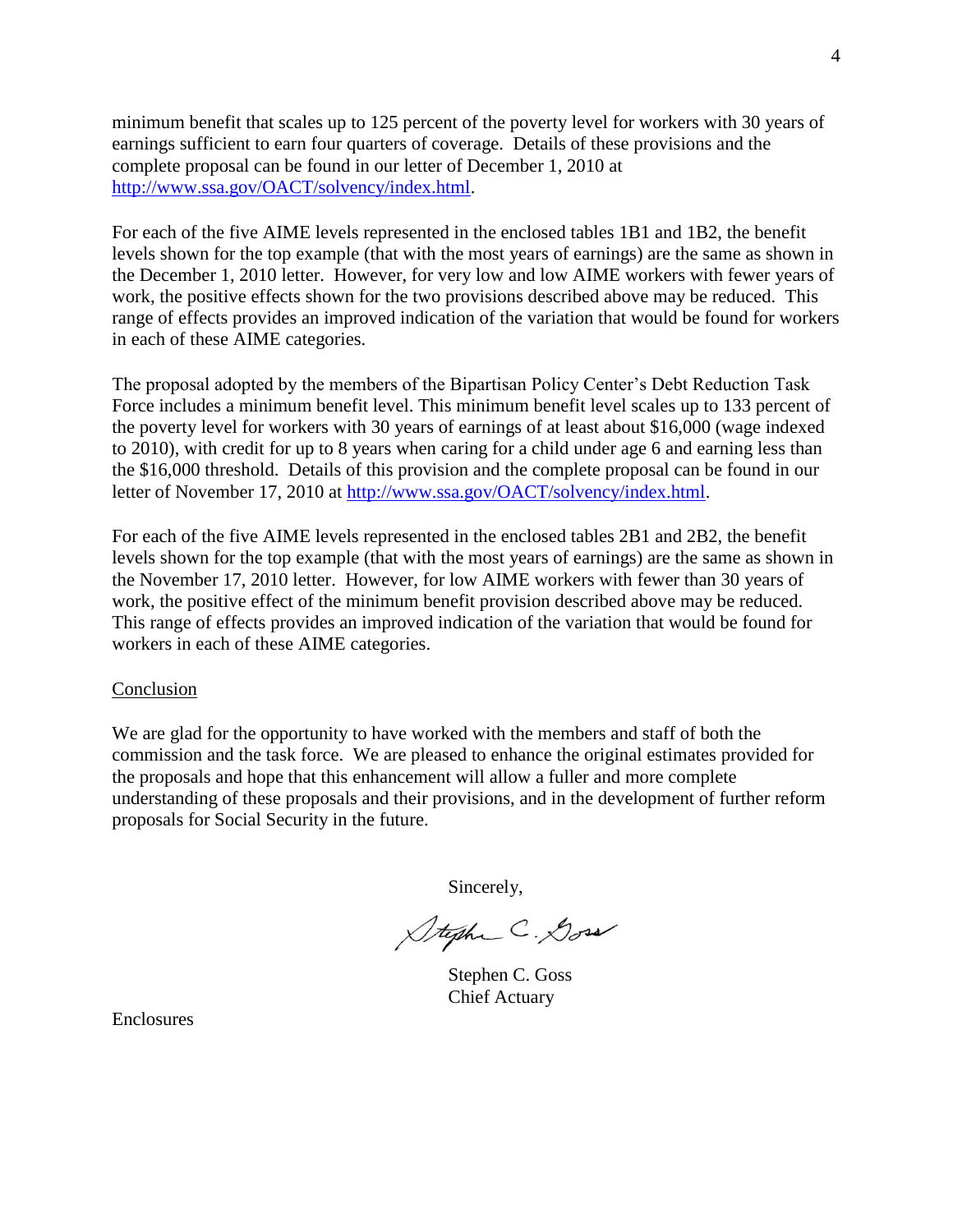minimum benefit that scales up to 125 percent of the poverty level for workers with 30 years of earnings sufficient to earn four quarters of coverage. Details of these provisions and the complete proposal can be found in our letter of December 1, 2010 at [http://www.ssa.gov/OACT/solvency/index.html.](http://www.ssa.gov/OACT/solvency/index.html)

For each of the five AIME levels represented in the enclosed tables 1B1 and 1B2, the benefit levels shown for the top example (that with the most years of earnings) are the same as shown in the December 1, 2010 letter. However, for very low and low AIME workers with fewer years of work, the positive effects shown for the two provisions described above may be reduced. This range of effects provides an improved indication of the variation that would be found for workers in each of these AIME categories.

The proposal adopted by the members of the Bipartisan Policy Center's Debt Reduction Task Force includes a minimum benefit level. This minimum benefit level scales up to 133 percent of the poverty level for workers with 30 years of earnings of at least about \$16,000 (wage indexed to 2010), with credit for up to 8 years when caring for a child under age 6 and earning less than the \$16,000 threshold. Details of this provision and the complete proposal can be found in our letter of November 17, 2010 at [http://www.ssa.gov/OACT/solvency/index.html.](http://www.ssa.gov/OACT/solvency/index.html)

For each of the five AIME levels represented in the enclosed tables 2B1 and 2B2, the benefit levels shown for the top example (that with the most years of earnings) are the same as shown in the November 17, 2010 letter. However, for low AIME workers with fewer than 30 years of work, the positive effect of the minimum benefit provision described above may be reduced. This range of effects provides an improved indication of the variation that would be found for workers in each of these AIME categories.

#### Conclusion

We are glad for the opportunity to have worked with the members and staff of both the commission and the task force. We are pleased to enhance the original estimates provided for the proposals and hope that this enhancement will allow a fuller and more complete understanding of these proposals and their provisions, and in the development of further reform proposals for Social Security in the future.

Sincerely,

Stephen C. Doss

Stephen C. Goss Chief Actuary

Enclosures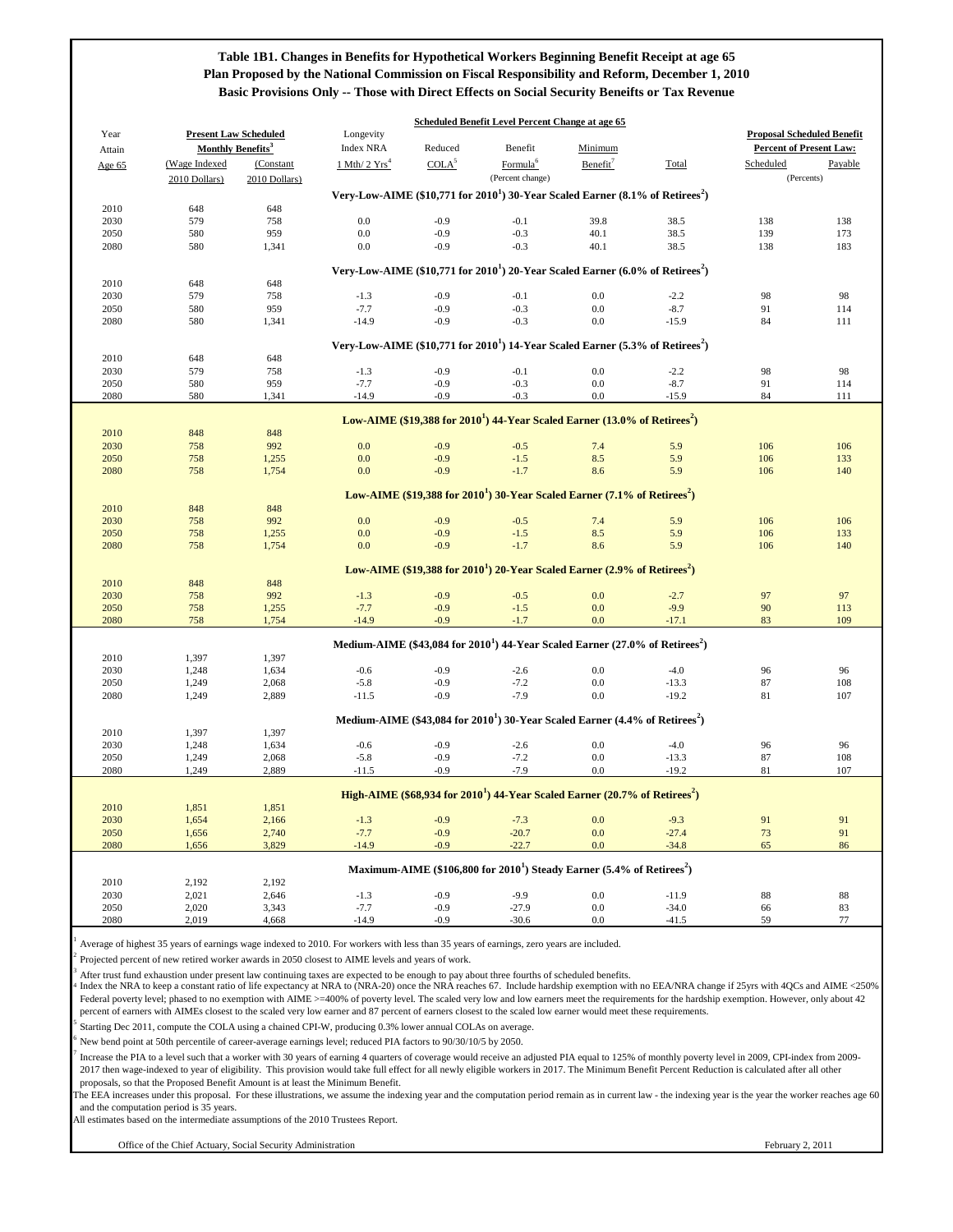The EEA increases under this proposal. For these illustrations, we assume the indexing year and the computation period remain as in current law - the indexing year is the year the worker reaches age 60 and the computation period is 35 years.

1 Average of highest 35 years of earnings wage indexed to 2010. For workers with less than 35 years of earnings, zero years are included.

2 Projected percent of new retired worker awards in 2050 closest to AIME levels and years of work.

3 After trust fund exhaustion under present law continuing taxes are expected to be enough to pay about three fourths of scheduled benefits.

5 Starting Dec 2011, compute the COLA using a chained CPI-W, producing 0.3% lower annual COLAs on average.

|        |                               |                              |                               |                   | <b>Scheduled Benefit Level Percent Change at age 65</b>                                       |                      |            |                                   |            |
|--------|-------------------------------|------------------------------|-------------------------------|-------------------|-----------------------------------------------------------------------------------------------|----------------------|------------|-----------------------------------|------------|
| Year   |                               | <b>Present Law Scheduled</b> | Longevity                     |                   |                                                                                               |                      |            | <b>Proposal Scheduled Benefit</b> |            |
| Attain | Monthly Benefits <sup>3</sup> |                              | <b>Index NRA</b>              | Reduced           | Benefit                                                                                       | Minimum              |            | <b>Percent of Present Law:</b>    |            |
| Age 65 | (Wage Indexed                 | (Constant                    | $1$ Mth/ $2$ Yrs <sup>4</sup> | COLA <sup>5</sup> | Formula <sup>6</sup>                                                                          | Benefit <sup>7</sup> | Total      | Scheduled                         | Payable    |
|        | 2010 Dollars)                 | 2010 Dollars)                |                               |                   | (Percent change)                                                                              |                      |            | (Percents)                        |            |
|        |                               |                              |                               |                   | Very-Low-AIME (\$10,771 for $20101$ ) 30-Year Scaled Earner (8.1% of Retirees <sup>2</sup> )  |                      |            |                                   |            |
| 2010   | 648                           | 648                          |                               |                   |                                                                                               |                      |            |                                   |            |
| 2030   | 579                           | 758                          | 0.0                           | $-0.9$            | $-0.1$                                                                                        | 39.8                 | 38.5       | 138                               | 138        |
| 2050   | 580                           | 959                          | 0.0                           | $-0.9$            | $-0.3$                                                                                        | 40.1                 | 38.5       | 139                               | 173        |
| 2080   | 580                           | 1,341                        | 0.0                           | $-0.9$            | $-0.3$                                                                                        | 40.1                 | 38.5       | 138                               | 183        |
|        |                               |                              |                               |                   | Very-Low-AIME (\$10,771 for $2010^1$ ) 20-Year Scaled Earner (6.0% of Retirees <sup>2</sup> ) |                      |            |                                   |            |
| 2010   | 648                           | 648                          |                               |                   |                                                                                               |                      |            |                                   |            |
| 2030   | 579                           | 758                          | $-1.3$                        | $-0.9$            | $-0.1$                                                                                        | 0.0                  | $-2.2$     | 98                                | 98         |
| 2050   | 580                           | 959                          | $-7.7$                        | $-0.9$            | $-0.3$                                                                                        | $0.0\,$              | $-8.7$     | 91                                | 114        |
| 2080   | 580                           | 1,341                        | $-14.9$                       | $-0.9$            | $-0.3$                                                                                        | 0.0                  | $-15.9$    | 84                                | 111        |
|        |                               |                              |                               |                   |                                                                                               |                      |            |                                   |            |
|        |                               |                              |                               |                   | Very-Low-AIME (\$10,771 for $20101$ ) 14-Year Scaled Earner (5.3% of Retirees <sup>2</sup> )  |                      |            |                                   |            |
| 2010   | 648                           | 648                          |                               |                   |                                                                                               |                      |            |                                   |            |
| 2030   | 579                           | 758                          | $-1.3$                        | $-0.9$            | $-0.1$                                                                                        | 0.0                  | $-2.2$     | 98                                | 98         |
| 2050   | 580                           | 959                          | $-7.7$                        | $-0.9$            | $-0.3$                                                                                        | 0.0                  | $-8.7$     | 91                                | 114        |
| 2080   | 580                           | 1,341                        | $-14.9$                       | $-0.9$            | $-0.3$                                                                                        | 0.0                  | $-15.9$    | 84                                | 111        |
|        |                               |                              |                               |                   |                                                                                               |                      |            |                                   |            |
|        |                               |                              |                               |                   | Low-AIME (\$19,388 for $20101$ ) 44-Year Scaled Earner (13.0% of Retirees <sup>2</sup> )      |                      |            |                                   |            |
| 2010   | 848                           | 848                          |                               |                   |                                                                                               |                      |            |                                   |            |
| 2030   | 758                           | 992                          | 0.0                           | $-0.9$            | $-0.5$<br>$-1.5$                                                                              | 7.4                  | 5.9        | 106                               | 106        |
| 2050   | 758                           | 1,255                        | 0.0<br>0.0                    | $-0.9$<br>$-0.9$  | $-1.7$                                                                                        | 8.5<br>8.6           | 5.9<br>5.9 | 106<br>106                        | 133<br>140 |
| 2080   | 758                           | 1,754                        |                               |                   |                                                                                               |                      |            |                                   |            |
|        |                               |                              |                               |                   | Low-AIME (\$19,388 for $2010^1$ ) 30-Year Scaled Earner (7.1% of Retirees <sup>2</sup> )      |                      |            |                                   |            |
| 2010   | 848                           | 848                          |                               |                   |                                                                                               |                      |            |                                   |            |
| 2030   | 758                           | 992                          | 0.0                           | $-0.9$            | $-0.5$                                                                                        | 7.4                  | 5.9        | 106                               | 106        |
| 2050   | 758                           | 1,255                        | 0.0                           | $-0.9$            | $-1.5$                                                                                        | 8.5                  | 5.9        | 106                               | 133        |
| 2080   | 758                           | 1,754                        | 0.0                           | $-0.9$            | $-1.7$                                                                                        | 8.6                  | 5.9        | 106                               | 140        |
|        |                               |                              |                               |                   |                                                                                               |                      |            |                                   |            |
|        |                               |                              |                               |                   | Low-AIME (\$19,388 for $2010^1$ ) 20-Year Scaled Earner (2.9% of Retirees <sup>2</sup> )      |                      |            |                                   |            |
| 2010   | 848                           | 848                          |                               |                   |                                                                                               |                      |            |                                   |            |
| 2030   | 758                           | 992                          | $-1.3$                        | $-0.9$            | $-0.5$                                                                                        | 0.0                  | $-2.7$     | 97                                | 97         |
| 2050   | 758                           | 1,255                        | $-7.7$                        | $-0.9$            | $-1.5$                                                                                        | 0.0                  | $-9.9$     | 90                                | 113        |
| 2080   | 758                           | 1,754                        | $-14.9$                       | $-0.9$            | $-1.7$                                                                                        | 0.0                  | $-17.1$    | 83                                | 109        |
|        |                               |                              |                               |                   | Medium-AIME (\$43,084 for $20101$ ) 44-Year Scaled Earner (27.0% of Retirees <sup>2</sup> )   |                      |            |                                   |            |
| 2010   | 1,397                         | 1,397                        |                               |                   |                                                                                               |                      |            |                                   |            |
| 2030   | 1,248                         | 1,634                        | $-0.6$                        | $-0.9$            | $-2.6$                                                                                        | 0.0                  | $-4.0$     | 96                                | 96         |
| 2050   | 1,249                         | 2,068                        | $-5.8$                        | $-0.9$            | $-7.2$                                                                                        | 0.0                  | $-13.3$    | 87                                | 108        |
| 2080   | 1,249                         | 2,889                        | $-11.5$                       | $-0.9$            | $-7.9$                                                                                        | 0.0                  | $-19.2$    | 81                                | 107        |
|        |                               |                              |                               |                   |                                                                                               |                      |            |                                   |            |
|        |                               |                              |                               |                   | Medium-AIME (\$43,084 for $20101$ ) 30-Year Scaled Earner (4.4% of Retirees <sup>2</sup> )    |                      |            |                                   |            |
| 2010   | 1,397                         | 1,397                        |                               |                   |                                                                                               |                      |            |                                   |            |
| 2030   | 1,248                         | 1,634                        | $-0.6$                        | $-0.9$            | $-2.6$                                                                                        | 0.0                  | $-4.0$     | 96                                | 96         |
| 2050   | 1,249                         | 2,068                        | $-5.8$                        | $-0.9$            | $-7.2$                                                                                        | 0.0                  | $-13.3$    | 87                                | 108        |
| 2080   | 1,249                         | 2,889                        | $-11.5$                       | $-0.9$            | $-7.9$                                                                                        | 0.0                  | $-19.2$    | 81                                | 107        |
|        |                               |                              |                               |                   | High-AIME (\$68,934 for $20101$ ) 44-Year Scaled Earner (20.7% of Retirees <sup>2</sup> )     |                      |            |                                   |            |
| 2010   | 1,851                         | 1,851                        |                               |                   |                                                                                               |                      |            |                                   |            |
| 2030   | 1,654                         | 2,166                        | $-1.3$                        | $-0.9$            | $-7.3$                                                                                        | 0.0                  | $-9.3$     | 91                                | 91         |
| 2050   | 1,656                         | 2,740                        | $-7.7$                        | $-0.9$            | $-20.7$                                                                                       | 0.0                  | $-27.4$    | 73                                | 91         |
| 2080   | 1,656                         | 3,829                        | $-14.9$                       | $-0.9$            | $-22.7$                                                                                       | 0.0                  | $-34.8$    | 65                                | 86         |
|        |                               |                              |                               |                   |                                                                                               |                      |            |                                   |            |
|        |                               |                              |                               |                   | Maximum-AIME (\$106,800 for $20101$ ) Steady Earner (5.4% of Retirees <sup>2</sup> )          |                      |            |                                   |            |
| 2010   | 2,192                         | 2,192                        |                               |                   |                                                                                               |                      |            |                                   |            |
| 2030   | 2,021                         | 2,646                        | $-1.3$                        | $-0.9$            | $-9.9$                                                                                        | 0.0                  | $-11.9$    | 88                                | 88         |
| 2050   | 2,020                         | 3,343                        | $-7.7$                        | $-0.9$            | $-27.9$                                                                                       | 0.0                  | $-34.0$    | 66                                | 83         |
| 2080   | 2,019                         | 4,668                        | $-14.9$                       | $-0.9$            | $-30.6$                                                                                       | 0.0                  | $-41.5$    | 59                                | 77         |

All estimates based on the intermediate assumptions of the 2010 Trustees Report.

Office of the Chief Actuary, Social Security Administration

4 Index the NRA to keep a constant ratio of life expectancy at NRA to (NRA-20) once the NRA reaches 67. Include hardship exemption with no EEA/NRA change if 25yrs with 4QCs and AIME <250% Federal poverty level; phased to no exemption with AIME >=400% of poverty level. The scaled very low and low earners meet the requirements for the hardship exemption. However, only about 42 percent of earners with AIMEs closest to the scaled very low earner and 87 percent of earners closest to the scaled low earner would meet these requirements.

6 New bend point at 50th percentile of career-average earnings level; reduced PIA factors to 90/30/10/5 by 2050.

7 Increase the PIA to a level such that a worker with 30 years of earning 4 quarters of coverage would receive an adjusted PIA equal to 125% of monthly poverty level in 2009, CPI-index from 2009- 2017 then wage-indexed to year of eligibility. This provision would take full effect for all newly eligible workers in 2017. The Minimum Benefit Percent Reduction is calculated after all other proposals, so that the Proposed Benefit Amount is at least the Minimum Benefit.

# **Table 1B1. Changes in Benefits for Hypothetical Workers Beginning Benefit Receipt at age 65 Plan Proposed by the National Commission on Fiscal Responsibility and Reform, December 1, 2010 Basic Provisions Only -- Those with Direct Effects on Social Security Beneifts or Tax Revenue**

February 2, 2011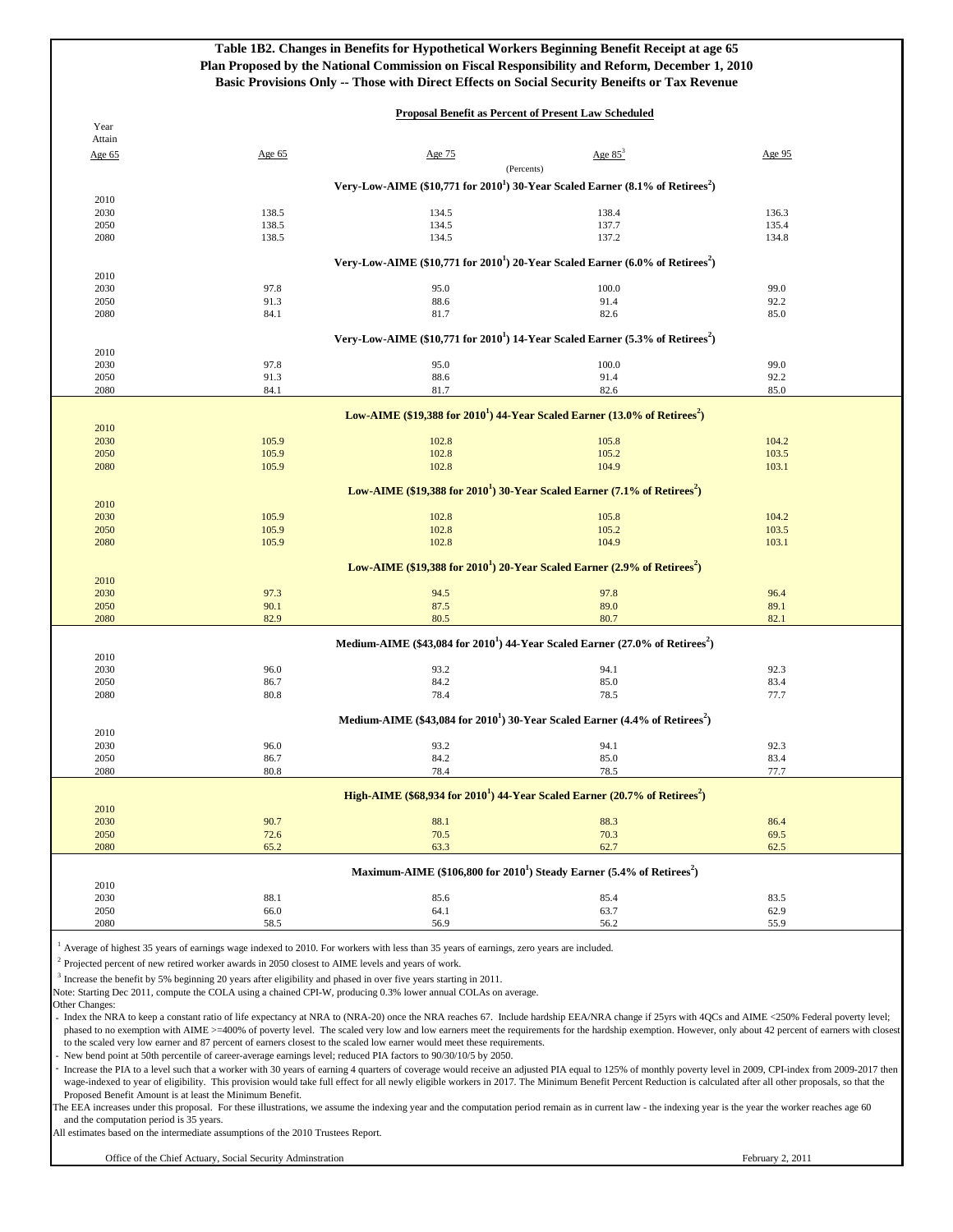|                                                                                                                       |                                                                                                                                                                                                                                                                                                                                                                                                                                                                                                                                                                                                                                                                                                                                                                                                                                 | Table 1B2. Changes in Benefits for Hypothetical Workers Beginning Benefit Receipt at age 65<br>Plan Proposed by the National Commission on Fiscal Responsibility and Reform, December 1, 2010<br>Basic Provisions Only -- Those with Direct Effects on Social Security Beneifts or Tax Revenue |                                                             |                                                                                                                                                                                                                                                                                                                                                                                                                                                                                                                                                                                                                                                                                                                                                                                                                                                                                                                                                                                                                                                      |
|-----------------------------------------------------------------------------------------------------------------------|---------------------------------------------------------------------------------------------------------------------------------------------------------------------------------------------------------------------------------------------------------------------------------------------------------------------------------------------------------------------------------------------------------------------------------------------------------------------------------------------------------------------------------------------------------------------------------------------------------------------------------------------------------------------------------------------------------------------------------------------------------------------------------------------------------------------------------|------------------------------------------------------------------------------------------------------------------------------------------------------------------------------------------------------------------------------------------------------------------------------------------------|-------------------------------------------------------------|------------------------------------------------------------------------------------------------------------------------------------------------------------------------------------------------------------------------------------------------------------------------------------------------------------------------------------------------------------------------------------------------------------------------------------------------------------------------------------------------------------------------------------------------------------------------------------------------------------------------------------------------------------------------------------------------------------------------------------------------------------------------------------------------------------------------------------------------------------------------------------------------------------------------------------------------------------------------------------------------------------------------------------------------------|
| Year                                                                                                                  |                                                                                                                                                                                                                                                                                                                                                                                                                                                                                                                                                                                                                                                                                                                                                                                                                                 |                                                                                                                                                                                                                                                                                                | <b>Proposal Benefit as Percent of Present Law Scheduled</b> |                                                                                                                                                                                                                                                                                                                                                                                                                                                                                                                                                                                                                                                                                                                                                                                                                                                                                                                                                                                                                                                      |
| Attain<br>Age 65                                                                                                      | Age 65                                                                                                                                                                                                                                                                                                                                                                                                                                                                                                                                                                                                                                                                                                                                                                                                                          | Age 75                                                                                                                                                                                                                                                                                         | Age $85^3$                                                  | Age 95                                                                                                                                                                                                                                                                                                                                                                                                                                                                                                                                                                                                                                                                                                                                                                                                                                                                                                                                                                                                                                               |
|                                                                                                                       |                                                                                                                                                                                                                                                                                                                                                                                                                                                                                                                                                                                                                                                                                                                                                                                                                                 |                                                                                                                                                                                                                                                                                                | (Percents)                                                  |                                                                                                                                                                                                                                                                                                                                                                                                                                                                                                                                                                                                                                                                                                                                                                                                                                                                                                                                                                                                                                                      |
|                                                                                                                       |                                                                                                                                                                                                                                                                                                                                                                                                                                                                                                                                                                                                                                                                                                                                                                                                                                 | Very-Low-AIME $(\$10,771$ for $2010^1)$ 30-Year Scaled Earner $(\$.1\%$ of Retirees <sup>2</sup> )                                                                                                                                                                                             |                                                             |                                                                                                                                                                                                                                                                                                                                                                                                                                                                                                                                                                                                                                                                                                                                                                                                                                                                                                                                                                                                                                                      |
| 2010<br>2030                                                                                                          | 138.5                                                                                                                                                                                                                                                                                                                                                                                                                                                                                                                                                                                                                                                                                                                                                                                                                           | 134.5                                                                                                                                                                                                                                                                                          | 138.4                                                       | 136.3                                                                                                                                                                                                                                                                                                                                                                                                                                                                                                                                                                                                                                                                                                                                                                                                                                                                                                                                                                                                                                                |
| 2050                                                                                                                  | 138.5                                                                                                                                                                                                                                                                                                                                                                                                                                                                                                                                                                                                                                                                                                                                                                                                                           | 134.5                                                                                                                                                                                                                                                                                          | 137.7                                                       | 135.4                                                                                                                                                                                                                                                                                                                                                                                                                                                                                                                                                                                                                                                                                                                                                                                                                                                                                                                                                                                                                                                |
| 2080                                                                                                                  | 138.5                                                                                                                                                                                                                                                                                                                                                                                                                                                                                                                                                                                                                                                                                                                                                                                                                           | 134.5                                                                                                                                                                                                                                                                                          | 137.2                                                       | 134.8                                                                                                                                                                                                                                                                                                                                                                                                                                                                                                                                                                                                                                                                                                                                                                                                                                                                                                                                                                                                                                                |
|                                                                                                                       |                                                                                                                                                                                                                                                                                                                                                                                                                                                                                                                                                                                                                                                                                                                                                                                                                                 | Very-Low-AIME (\$10,771 for $2010^1$ ) 20-Year Scaled Earner (6.0% of Retirees <sup>2</sup> )                                                                                                                                                                                                  |                                                             |                                                                                                                                                                                                                                                                                                                                                                                                                                                                                                                                                                                                                                                                                                                                                                                                                                                                                                                                                                                                                                                      |
| 2010<br>2030                                                                                                          | 97.8                                                                                                                                                                                                                                                                                                                                                                                                                                                                                                                                                                                                                                                                                                                                                                                                                            | 95.0                                                                                                                                                                                                                                                                                           | 100.0                                                       | 99.0                                                                                                                                                                                                                                                                                                                                                                                                                                                                                                                                                                                                                                                                                                                                                                                                                                                                                                                                                                                                                                                 |
| 2050<br>2080                                                                                                          | 91.3<br>84.1                                                                                                                                                                                                                                                                                                                                                                                                                                                                                                                                                                                                                                                                                                                                                                                                                    | 88.6<br>81.7                                                                                                                                                                                                                                                                                   | 91.4<br>82.6                                                | 92.2<br>85.0                                                                                                                                                                                                                                                                                                                                                                                                                                                                                                                                                                                                                                                                                                                                                                                                                                                                                                                                                                                                                                         |
|                                                                                                                       |                                                                                                                                                                                                                                                                                                                                                                                                                                                                                                                                                                                                                                                                                                                                                                                                                                 |                                                                                                                                                                                                                                                                                                |                                                             |                                                                                                                                                                                                                                                                                                                                                                                                                                                                                                                                                                                                                                                                                                                                                                                                                                                                                                                                                                                                                                                      |
| 2010                                                                                                                  |                                                                                                                                                                                                                                                                                                                                                                                                                                                                                                                                                                                                                                                                                                                                                                                                                                 | Very-Low-AIME (\$10,771 for 2010 <sup>1</sup> ) 14-Year Scaled Earner (5.3% of Retirees <sup>2</sup> )                                                                                                                                                                                         |                                                             |                                                                                                                                                                                                                                                                                                                                                                                                                                                                                                                                                                                                                                                                                                                                                                                                                                                                                                                                                                                                                                                      |
| 2030                                                                                                                  | 97.8                                                                                                                                                                                                                                                                                                                                                                                                                                                                                                                                                                                                                                                                                                                                                                                                                            | 95.0                                                                                                                                                                                                                                                                                           | 100.0                                                       | 99.0                                                                                                                                                                                                                                                                                                                                                                                                                                                                                                                                                                                                                                                                                                                                                                                                                                                                                                                                                                                                                                                 |
| 2050<br>2080                                                                                                          | 91.3<br>84.1                                                                                                                                                                                                                                                                                                                                                                                                                                                                                                                                                                                                                                                                                                                                                                                                                    | 88.6<br>81.7                                                                                                                                                                                                                                                                                   | 91.4<br>82.6                                                | 92.2<br>85.0                                                                                                                                                                                                                                                                                                                                                                                                                                                                                                                                                                                                                                                                                                                                                                                                                                                                                                                                                                                                                                         |
|                                                                                                                       |                                                                                                                                                                                                                                                                                                                                                                                                                                                                                                                                                                                                                                                                                                                                                                                                                                 |                                                                                                                                                                                                                                                                                                |                                                             |                                                                                                                                                                                                                                                                                                                                                                                                                                                                                                                                                                                                                                                                                                                                                                                                                                                                                                                                                                                                                                                      |
| 2010                                                                                                                  |                                                                                                                                                                                                                                                                                                                                                                                                                                                                                                                                                                                                                                                                                                                                                                                                                                 | Low-AIME (\$19,388 for $20101$ ) 44-Year Scaled Earner (13.0% of Retirees <sup>2</sup> )                                                                                                                                                                                                       |                                                             |                                                                                                                                                                                                                                                                                                                                                                                                                                                                                                                                                                                                                                                                                                                                                                                                                                                                                                                                                                                                                                                      |
| 2030                                                                                                                  | 105.9                                                                                                                                                                                                                                                                                                                                                                                                                                                                                                                                                                                                                                                                                                                                                                                                                           | 102.8                                                                                                                                                                                                                                                                                          | 105.8                                                       | 104.2                                                                                                                                                                                                                                                                                                                                                                                                                                                                                                                                                                                                                                                                                                                                                                                                                                                                                                                                                                                                                                                |
| 2050<br>2080                                                                                                          | 105.9<br>105.9                                                                                                                                                                                                                                                                                                                                                                                                                                                                                                                                                                                                                                                                                                                                                                                                                  | 102.8<br>102.8                                                                                                                                                                                                                                                                                 | 105.2<br>104.9                                              | 103.5<br>103.1                                                                                                                                                                                                                                                                                                                                                                                                                                                                                                                                                                                                                                                                                                                                                                                                                                                                                                                                                                                                                                       |
|                                                                                                                       |                                                                                                                                                                                                                                                                                                                                                                                                                                                                                                                                                                                                                                                                                                                                                                                                                                 |                                                                                                                                                                                                                                                                                                |                                                             |                                                                                                                                                                                                                                                                                                                                                                                                                                                                                                                                                                                                                                                                                                                                                                                                                                                                                                                                                                                                                                                      |
| 2010                                                                                                                  |                                                                                                                                                                                                                                                                                                                                                                                                                                                                                                                                                                                                                                                                                                                                                                                                                                 | Low-AIME (\$19,388 for $20101$ ) 30-Year Scaled Earner (7.1% of Retirees <sup>2</sup> )                                                                                                                                                                                                        |                                                             |                                                                                                                                                                                                                                                                                                                                                                                                                                                                                                                                                                                                                                                                                                                                                                                                                                                                                                                                                                                                                                                      |
| 2030                                                                                                                  | 105.9                                                                                                                                                                                                                                                                                                                                                                                                                                                                                                                                                                                                                                                                                                                                                                                                                           | 102.8                                                                                                                                                                                                                                                                                          | 105.8                                                       | 104.2                                                                                                                                                                                                                                                                                                                                                                                                                                                                                                                                                                                                                                                                                                                                                                                                                                                                                                                                                                                                                                                |
| 2050<br>2080                                                                                                          | 105.9<br>105.9                                                                                                                                                                                                                                                                                                                                                                                                                                                                                                                                                                                                                                                                                                                                                                                                                  | 102.8<br>102.8                                                                                                                                                                                                                                                                                 | 105.2<br>104.9                                              | 103.5<br>103.1                                                                                                                                                                                                                                                                                                                                                                                                                                                                                                                                                                                                                                                                                                                                                                                                                                                                                                                                                                                                                                       |
|                                                                                                                       |                                                                                                                                                                                                                                                                                                                                                                                                                                                                                                                                                                                                                                                                                                                                                                                                                                 |                                                                                                                                                                                                                                                                                                |                                                             |                                                                                                                                                                                                                                                                                                                                                                                                                                                                                                                                                                                                                                                                                                                                                                                                                                                                                                                                                                                                                                                      |
| 2010                                                                                                                  |                                                                                                                                                                                                                                                                                                                                                                                                                                                                                                                                                                                                                                                                                                                                                                                                                                 | Low-AIME $(\$19,388$ for $2010^1$ ) 20-Year Scaled Earner (2.9% of Retirees <sup>2</sup> )                                                                                                                                                                                                     |                                                             |                                                                                                                                                                                                                                                                                                                                                                                                                                                                                                                                                                                                                                                                                                                                                                                                                                                                                                                                                                                                                                                      |
| 2030                                                                                                                  | 97.3                                                                                                                                                                                                                                                                                                                                                                                                                                                                                                                                                                                                                                                                                                                                                                                                                            | 94.5                                                                                                                                                                                                                                                                                           | 97.8                                                        | 96.4                                                                                                                                                                                                                                                                                                                                                                                                                                                                                                                                                                                                                                                                                                                                                                                                                                                                                                                                                                                                                                                 |
| 2050<br>2080                                                                                                          | 90.1<br>82.9                                                                                                                                                                                                                                                                                                                                                                                                                                                                                                                                                                                                                                                                                                                                                                                                                    | 87.5<br>80.5                                                                                                                                                                                                                                                                                   | 89.0<br>80.7                                                | 89.1<br>82.1                                                                                                                                                                                                                                                                                                                                                                                                                                                                                                                                                                                                                                                                                                                                                                                                                                                                                                                                                                                                                                         |
|                                                                                                                       |                                                                                                                                                                                                                                                                                                                                                                                                                                                                                                                                                                                                                                                                                                                                                                                                                                 |                                                                                                                                                                                                                                                                                                |                                                             |                                                                                                                                                                                                                                                                                                                                                                                                                                                                                                                                                                                                                                                                                                                                                                                                                                                                                                                                                                                                                                                      |
| 2010                                                                                                                  |                                                                                                                                                                                                                                                                                                                                                                                                                                                                                                                                                                                                                                                                                                                                                                                                                                 | Medium-AIME (\$43,084 for $2010^1$ ) 44-Year Scaled Earner (27.0% of Retirees <sup>2</sup> )                                                                                                                                                                                                   |                                                             |                                                                                                                                                                                                                                                                                                                                                                                                                                                                                                                                                                                                                                                                                                                                                                                                                                                                                                                                                                                                                                                      |
| 2030                                                                                                                  | 96.0                                                                                                                                                                                                                                                                                                                                                                                                                                                                                                                                                                                                                                                                                                                                                                                                                            | 93.2                                                                                                                                                                                                                                                                                           | 94.1                                                        | 92.3                                                                                                                                                                                                                                                                                                                                                                                                                                                                                                                                                                                                                                                                                                                                                                                                                                                                                                                                                                                                                                                 |
| 2050<br>2080                                                                                                          | 86.7<br>80.8                                                                                                                                                                                                                                                                                                                                                                                                                                                                                                                                                                                                                                                                                                                                                                                                                    | 84.2<br>78.4                                                                                                                                                                                                                                                                                   | 85.0<br>78.5                                                | 83.4<br>77.7                                                                                                                                                                                                                                                                                                                                                                                                                                                                                                                                                                                                                                                                                                                                                                                                                                                                                                                                                                                                                                         |
|                                                                                                                       |                                                                                                                                                                                                                                                                                                                                                                                                                                                                                                                                                                                                                                                                                                                                                                                                                                 |                                                                                                                                                                                                                                                                                                |                                                             |                                                                                                                                                                                                                                                                                                                                                                                                                                                                                                                                                                                                                                                                                                                                                                                                                                                                                                                                                                                                                                                      |
| 2010                                                                                                                  |                                                                                                                                                                                                                                                                                                                                                                                                                                                                                                                                                                                                                                                                                                                                                                                                                                 | Medium-AIME (\$43,084 for $20101$ ) 30-Year Scaled Earner (4.4% of Retirees <sup>2</sup> )                                                                                                                                                                                                     |                                                             |                                                                                                                                                                                                                                                                                                                                                                                                                                                                                                                                                                                                                                                                                                                                                                                                                                                                                                                                                                                                                                                      |
| 2030                                                                                                                  | 96.0                                                                                                                                                                                                                                                                                                                                                                                                                                                                                                                                                                                                                                                                                                                                                                                                                            | 93.2                                                                                                                                                                                                                                                                                           | 94.1                                                        | 92.3                                                                                                                                                                                                                                                                                                                                                                                                                                                                                                                                                                                                                                                                                                                                                                                                                                                                                                                                                                                                                                                 |
| 2050<br>2080                                                                                                          | 86.7<br>80.8                                                                                                                                                                                                                                                                                                                                                                                                                                                                                                                                                                                                                                                                                                                                                                                                                    | 84.2<br>78.4                                                                                                                                                                                                                                                                                   | 85.0<br>78.5                                                | 83.4<br>77.7                                                                                                                                                                                                                                                                                                                                                                                                                                                                                                                                                                                                                                                                                                                                                                                                                                                                                                                                                                                                                                         |
|                                                                                                                       |                                                                                                                                                                                                                                                                                                                                                                                                                                                                                                                                                                                                                                                                                                                                                                                                                                 |                                                                                                                                                                                                                                                                                                |                                                             |                                                                                                                                                                                                                                                                                                                                                                                                                                                                                                                                                                                                                                                                                                                                                                                                                                                                                                                                                                                                                                                      |
| 2010                                                                                                                  |                                                                                                                                                                                                                                                                                                                                                                                                                                                                                                                                                                                                                                                                                                                                                                                                                                 | High-AIME (\$68,934 for $20101$ ) 44-Year Scaled Earner (20.7% of Retirees <sup>2</sup> )                                                                                                                                                                                                      |                                                             |                                                                                                                                                                                                                                                                                                                                                                                                                                                                                                                                                                                                                                                                                                                                                                                                                                                                                                                                                                                                                                                      |
| 2030                                                                                                                  | 90.7                                                                                                                                                                                                                                                                                                                                                                                                                                                                                                                                                                                                                                                                                                                                                                                                                            | 88.1                                                                                                                                                                                                                                                                                           | 88.3                                                        | 86.4                                                                                                                                                                                                                                                                                                                                                                                                                                                                                                                                                                                                                                                                                                                                                                                                                                                                                                                                                                                                                                                 |
| 2050<br>2080                                                                                                          | 72.6<br>65.2                                                                                                                                                                                                                                                                                                                                                                                                                                                                                                                                                                                                                                                                                                                                                                                                                    | 70.5<br>63.3                                                                                                                                                                                                                                                                                   | 70.3<br>62.7                                                | 69.5<br>62.5                                                                                                                                                                                                                                                                                                                                                                                                                                                                                                                                                                                                                                                                                                                                                                                                                                                                                                                                                                                                                                         |
|                                                                                                                       |                                                                                                                                                                                                                                                                                                                                                                                                                                                                                                                                                                                                                                                                                                                                                                                                                                 | Maximum-AIME (\$106,800 for 2010 <sup>1</sup> ) Steady Earner (5.4% of Retirees <sup>2</sup> )                                                                                                                                                                                                 |                                                             |                                                                                                                                                                                                                                                                                                                                                                                                                                                                                                                                                                                                                                                                                                                                                                                                                                                                                                                                                                                                                                                      |
| 2010                                                                                                                  |                                                                                                                                                                                                                                                                                                                                                                                                                                                                                                                                                                                                                                                                                                                                                                                                                                 |                                                                                                                                                                                                                                                                                                |                                                             |                                                                                                                                                                                                                                                                                                                                                                                                                                                                                                                                                                                                                                                                                                                                                                                                                                                                                                                                                                                                                                                      |
| 2030<br>2050                                                                                                          | 88.1<br>66.0                                                                                                                                                                                                                                                                                                                                                                                                                                                                                                                                                                                                                                                                                                                                                                                                                    | 85.6<br>64.1                                                                                                                                                                                                                                                                                   | 85.4<br>63.7                                                | 83.5<br>62.9                                                                                                                                                                                                                                                                                                                                                                                                                                                                                                                                                                                                                                                                                                                                                                                                                                                                                                                                                                                                                                         |
| 2080                                                                                                                  | 58.5                                                                                                                                                                                                                                                                                                                                                                                                                                                                                                                                                                                                                                                                                                                                                                                                                            | 56.9                                                                                                                                                                                                                                                                                           | 56.2                                                        | 55.9                                                                                                                                                                                                                                                                                                                                                                                                                                                                                                                                                                                                                                                                                                                                                                                                                                                                                                                                                                                                                                                 |
| Other Changes:<br>Proposed Benefit Amount is at least the Minimum Benefit.<br>and the computation period is 35 years. | Average of highest 35 years of earnings wage indexed to 2010. For workers with less than 35 years of earnings, zero years are included.<br>$\frac{1}{2}$ Projected percent of new retired worker awards in 2050 closest to AIME levels and years of work.<br>Increase the benefit by 5% beginning 20 years after eligibility and phased in over five years starting in 2011.<br>Note: Starting Dec 2011, compute the COLA using a chained CPI-W, producing 0.3% lower annual COLAs on average.<br>to the scaled very low earner and 87 percent of earners closest to the scaled low earner would meet these requirements.<br>New bend point at 50th percentile of career-average earnings level; reduced PIA factors to 90/30/10/5 by 2050.<br>All estimates based on the intermediate assumptions of the 2010 Trustees Report. |                                                                                                                                                                                                                                                                                                |                                                             | Index the NRA to keep a constant ratio of life expectancy at NRA to (NRA-20) once the NRA reaches 67. Include hardship EEA/NRA change if 25yrs with 4QCs and AIME <250% Federal poverty level;<br>phased to no exemption with AIME >=400% of poverty level. The scaled very low and low earners meet the requirements for the hardship exemption. However, only about 42 percent of earners with closest<br>Increase the PIA to a level such that a worker with 30 years of earning 4 quarters of coverage would receive an adjusted PIA equal to 125% of monthly poverty level in 2009, CPI-index from 2009-2017 then<br>wage-indexed to year of eligibility. This provision would take full effect for all newly eligible workers in 2017. The Minimum Benefit Percent Reduction is calculated after all other proposals, so that the<br>The EEA increases under this proposal. For these illustrations, we assume the indexing year and the computation period remain as in current law - the indexing year is the year the worker reaches age 60 |
|                                                                                                                       |                                                                                                                                                                                                                                                                                                                                                                                                                                                                                                                                                                                                                                                                                                                                                                                                                                 |                                                                                                                                                                                                                                                                                                |                                                             |                                                                                                                                                                                                                                                                                                                                                                                                                                                                                                                                                                                                                                                                                                                                                                                                                                                                                                                                                                                                                                                      |
|                                                                                                                       | Office of the Chief Actuary, Social Security Adminstration                                                                                                                                                                                                                                                                                                                                                                                                                                                                                                                                                                                                                                                                                                                                                                      |                                                                                                                                                                                                                                                                                                |                                                             | February 2, 2011                                                                                                                                                                                                                                                                                                                                                                                                                                                                                                                                                                                                                                                                                                                                                                                                                                                                                                                                                                                                                                     |
|                                                                                                                       |                                                                                                                                                                                                                                                                                                                                                                                                                                                                                                                                                                                                                                                                                                                                                                                                                                 |                                                                                                                                                                                                                                                                                                |                                                             |                                                                                                                                                                                                                                                                                                                                                                                                                                                                                                                                                                                                                                                                                                                                                                                                                                                                                                                                                                                                                                                      |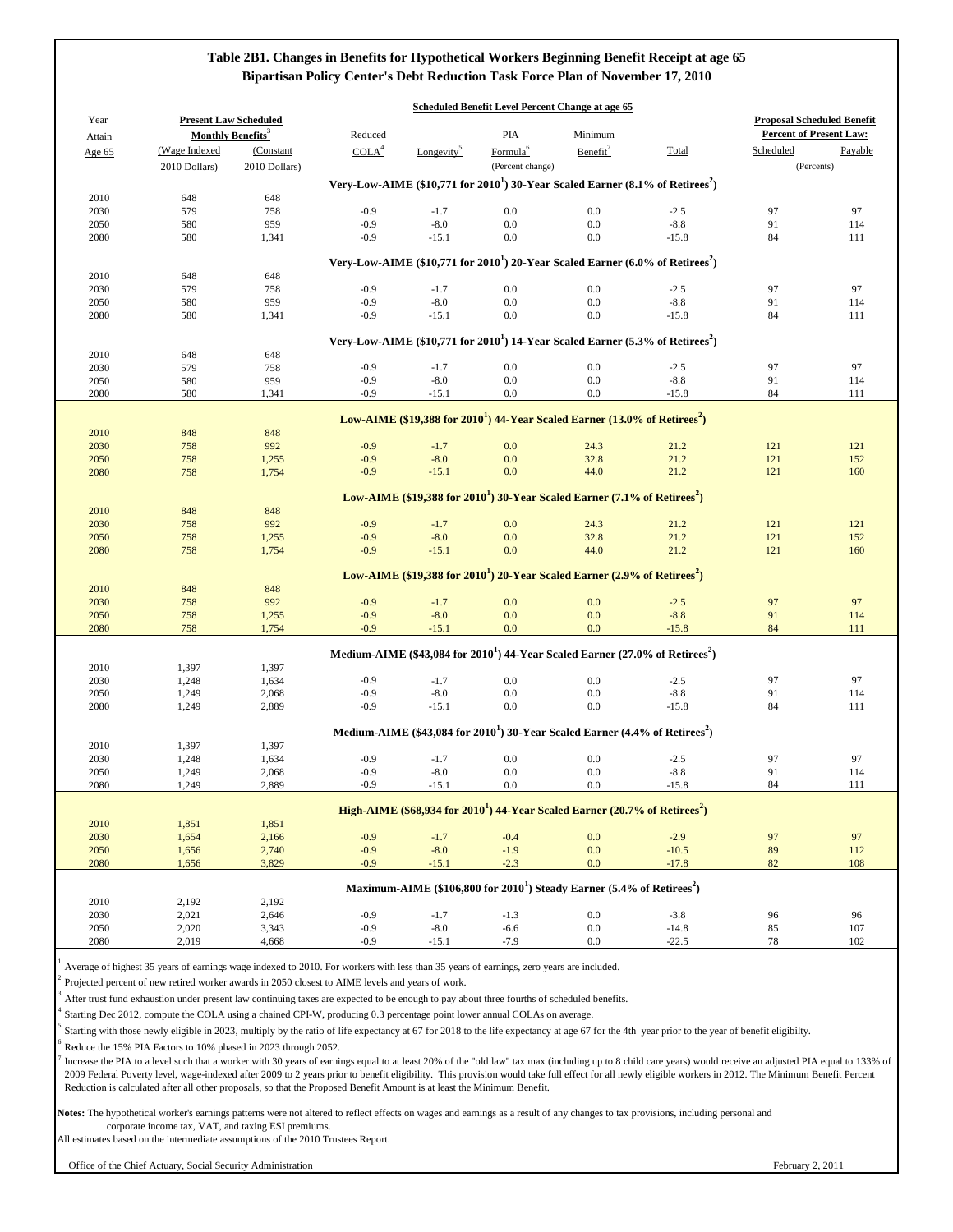Notes: The hypothetical worker's earnings patterns were not altered to reflect effects on wages and earnings as a result of any changes to tax provisions, including personal and corporate income tax, VAT, and taxing ESI premiums.

| 2050 | 2,020 | 242<br>د 34د.ر | .<br>$-U_{\star}$ | x<br>-0.U | $-0.0$ | v.v | $\sqrt{ }$<br>14.0 |    | 10´ |
|------|-------|----------------|-------------------|-----------|--------|-----|--------------------|----|-----|
| 2080 | .019  | 4,668          | .<br>-w.          |           | 7 G    | v.v |                    | 70 | 102 |

1

Average of highest 35 years of earnings wage indexed to 2010. For workers with less than 35 years of earnings, zero years are included.

2

Projected percent of new retired worker awards in 2050 closest to AIME levels and years of work.

3 4

Starting Dec 2012, compute the COLA using a chained CPI-W, producing 0.3 percentage point lower annual COLAs on average.

5 6

|        |                |                               |                   |                        | <b>Scheduled Benefit Level Percent Change at age 65</b>                                           |                      |         |                                   |         |
|--------|----------------|-------------------------------|-------------------|------------------------|---------------------------------------------------------------------------------------------------|----------------------|---------|-----------------------------------|---------|
| Year   |                | <b>Present Law Scheduled</b>  |                   |                        |                                                                                                   |                      |         | <b>Proposal Scheduled Benefit</b> |         |
| Attain |                | Monthly Benefits <sup>3</sup> | Reduced           |                        | <b>PIA</b>                                                                                        | Minimum              |         | <b>Percent of Present Law:</b>    |         |
| Age 65 | (Wage Indexed  | (Constant                     | COLA <sup>4</sup> | Longevity <sup>5</sup> | Formula <sup>6</sup>                                                                              | Benefit <sup>7</sup> | Total   | Scheduled                         | Payable |
|        | 2010 Dollars)  | 2010 Dollars)                 |                   |                        | (Percent change)                                                                                  |                      |         | (Percents)                        |         |
|        |                |                               |                   |                        | Very-Low-AIME (\$10,771 for $20101$ ) 30-Year Scaled Earner (8.1% of Retirees <sup>2</sup> )      |                      |         |                                   |         |
| 2010   | 648            | 648                           |                   |                        |                                                                                                   |                      |         |                                   |         |
|        |                |                               | $-0.9$            | $-1.7$                 |                                                                                                   | $0.0\,$              | $-2.5$  | 97                                | 97      |
| 2030   | 579            | 758                           | $-0.9$            |                        | 0.0                                                                                               |                      | $-8.8$  |                                   |         |
| 2050   | 580            | 959                           |                   | $-8.0$                 | 0.0                                                                                               | $0.0\,$              |         | 91                                | 114     |
| 2080   | 580            | 1,341                         | $-0.9$            | $-15.1$                | 0.0                                                                                               | $0.0\,$              | $-15.8$ | 84                                | 111     |
|        |                |                               |                   |                        | Very-Low-AIME (\$10,771 for $2010^1$ ) 20-Year Scaled Earner (6.0% of Retirees <sup>2</sup> )     |                      |         |                                   |         |
| 2010   | 648            | 648                           |                   |                        |                                                                                                   |                      |         |                                   |         |
| 2030   | 579            | 758                           | $-0.9$            | $-1.7$                 | 0.0                                                                                               | $0.0\,$              | $-2.5$  | 97                                | 97      |
| 2050   | 580            | 959                           | $-0.9$            | $-8.0$                 | 0.0                                                                                               | $0.0\,$              | $-8.8$  | 91                                | 114     |
| 2080   | 580            | 1,341                         | $-0.9$            | $-15.1$                | $0.0\,$                                                                                           | $0.0\,$              | $-15.8$ | 84                                | 111     |
|        |                |                               |                   |                        |                                                                                                   |                      |         |                                   |         |
|        |                |                               |                   |                        | Very-Low-AIME (\$10,771 for $20101$ ) 14-Year Scaled Earner (5.3% of Retirees <sup>2</sup> )      |                      |         |                                   |         |
| 2010   | 648            | 648                           |                   |                        |                                                                                                   |                      |         |                                   |         |
| 2030   | 579            | 758                           | $-0.9$            | $-1.7$                 | 0.0                                                                                               | $0.0\,$              | $-2.5$  | 97                                | 97      |
| 2050   | 580            | 959                           | $-0.9$            | $-8.0$                 | 0.0                                                                                               | $0.0\,$              | $-8.8$  | 91                                | 114     |
| 2080   | 580            | 1,341                         | $-0.9$            | $-15.1$                | 0.0                                                                                               | $0.0\,$              | $-15.8$ | 84                                | 111     |
|        |                |                               |                   |                        |                                                                                                   |                      |         |                                   |         |
|        |                |                               |                   |                        | Low-AIME (\$19,388 for $20101$ ) 44-Year Scaled Earner (13.0% of Retirees <sup>2</sup> )          |                      |         |                                   |         |
| 2010   | 848            | 848                           |                   |                        |                                                                                                   |                      |         |                                   |         |
| 2030   | 758            | 992                           | $-0.9$            | $-1.7$                 | 0.0                                                                                               | 24.3                 | 21.2    | 121                               | 121     |
| 2050   | 758            | 1,255                         | $-0.9$            | $-8.0$                 | 0.0                                                                                               | 32.8                 | 21.2    | 121                               | 152     |
| 2080   | 758            | 1,754                         | $-0.9$            | $-15.1$                | 0.0                                                                                               | 44.0                 | 21.2    | 121                               | 160     |
|        |                |                               |                   |                        |                                                                                                   |                      |         |                                   |         |
|        |                |                               |                   |                        | Low-AIME (\$19,388 for 2010 <sup>1</sup> ) 30-Year Scaled Earner (7.1% of Retirees <sup>2</sup> ) |                      |         |                                   |         |
| 2010   | 848            | 848                           |                   |                        |                                                                                                   |                      |         |                                   |         |
| 2030   | 758            | 992                           | $-0.9$            | $-1.7$                 | 0.0                                                                                               | 24.3                 | 21.2    | 121                               | 121     |
| 2050   | 758            | 1,255                         | $-0.9$            | $-8.0$                 | 0.0                                                                                               | 32.8                 | 21.2    | 121                               | 152     |
| 2080   | 758            | 1,754                         | $-0.9$            | $-15.1$                | 0.0                                                                                               | 44.0                 | 21.2    | 121                               | 160     |
|        |                |                               |                   |                        |                                                                                                   |                      |         |                                   |         |
|        |                |                               |                   |                        | Low-AIME $(\$19,388$ for $2010^1)$ 20-Year Scaled Earner (2.9% of Retirees <sup>2</sup> )         |                      |         |                                   |         |
| 2010   | 848            | 848                           |                   |                        |                                                                                                   |                      |         |                                   |         |
| 2030   | 758            | 992                           | $-0.9$            | $-1.7$                 | 0.0                                                                                               | 0.0                  | $-2.5$  | 97                                | 97      |
| 2050   | 758            | 1,255                         | $-0.9$            | $-8.0$                 | 0.0                                                                                               | 0.0                  | $-8.8$  | 91                                | 114     |
| 2080   | 758            | 1,754                         | $-0.9$            | $-15.1$                | 0.0                                                                                               | 0.0                  | $-15.8$ | 84                                | 111     |
|        |                |                               |                   |                        |                                                                                                   |                      |         |                                   |         |
|        |                |                               |                   |                        | Medium-AIME (\$43,084 for $2010^1$ ) 44-Year Scaled Earner (27.0% of Retirees <sup>2</sup> )      |                      |         |                                   |         |
| 2010   | 1,397          | 1,397                         |                   |                        |                                                                                                   |                      |         |                                   |         |
| 2030   | 1,248          | 1,634                         | $-0.9$            | $-1.7$                 | 0.0                                                                                               | $0.0\,$              | $-2.5$  | 97                                | 97      |
| 2050   | 1,249          | 2,068                         | $-0.9$            | $-8.0$                 | 0.0                                                                                               | $0.0\,$              | $-8.8$  | 91                                | 114     |
| 2080   | 1,249          | 2,889                         | $-0.9$            | $-15.1$                | 0.0                                                                                               | $0.0\,$              | $-15.8$ | 84                                | 111     |
|        |                |                               |                   |                        |                                                                                                   |                      |         |                                   |         |
|        |                |                               |                   |                        | Medium-AIME (\$43,084 for $20101$ ) 30-Year Scaled Earner (4.4% of Retirees <sup>2</sup> )        |                      |         |                                   |         |
| 2010   | 1,397          | 1,397                         |                   |                        |                                                                                                   |                      |         |                                   |         |
| 2030   | 1,248          | 1,634                         | $-0.9$            | $-1.7$                 | 0.0                                                                                               | $0.0\,$              | $-2.5$  | 97                                | 97      |
| 2050   | 1,249          | 2,068                         | $-0.9$            | $-8.0$                 | 0.0                                                                                               | $0.0\,$              | $-8.8$  | 91                                | 114     |
| 2080   | 1,249          | 2,889                         | $-0.9$            | $-15.1$                | 0.0                                                                                               | $0.0\,$              | $-15.8$ | 84                                | 111     |
|        |                |                               |                   |                        |                                                                                                   |                      |         |                                   |         |
|        |                |                               |                   |                        | High-AIME (\$68,934 for $20101$ ) 44-Year Scaled Earner (20.7% of Retirees <sup>2</sup> )         |                      |         |                                   |         |
| 2010   | 1,851          | 1,851                         |                   |                        |                                                                                                   |                      |         |                                   |         |
| 2030   | 1,654          | 2,166                         | $-0.9$            | $-1.7$                 | $-0.4$                                                                                            | 0.0                  | $-2.9$  | 97                                | 97      |
| 2050   | 1,656          | 2,740                         | $-0.9$            | $-8.0$                 | $-1.9$                                                                                            | 0.0                  | $-10.5$ | 89                                | 112     |
| 2080   | 1,656          | 3,829                         | $-0.9$            | $-15.1$                | $-2.3$                                                                                            | 0.0                  | $-17.8$ | 82                                | 108     |
|        |                |                               |                   |                        | Maximum-AIME (\$106,800 for $2010^1$ ) Steady Earner (5.4% of Retirees <sup>2</sup> )             |                      |         |                                   |         |
| 2010   |                |                               |                   |                        |                                                                                                   |                      |         |                                   |         |
| 2030   | 2,192<br>2,021 | 2,192                         | $-0.9$            | $-1.7$                 | $-1.3$                                                                                            | $0.0\,$              | $-3.8$  | 96                                | 96      |
|        |                | 2,646                         |                   |                        |                                                                                                   |                      |         |                                   |         |

All estimates based on the intermediate assumptions of the 2010 Trustees Report.

Office of the Chief Actuary, Social Security Administration

After trust fund exhaustion under present law continuing taxes are expected to be enough to pay about three fourths of scheduled benefits.

Starting with those newly eligible in 2023, multiply by the ratio of life expectancy at 67 for 2018 to the life expectancy at age 67 for the 4th year prior to the year of benefit eligibilty.

Reduce the 15% PIA Factors to 10% phased in 2023 through 2052.

7 Increase the PIA to a level such that a worker with 30 years of earnings equal to at least 20% of the "old law" tax max (including up to 8 child care years) would receive an adjusted PIA equal to 133% of 2009 Federal Poverty level, wage-indexed after 2009 to 2 years prior to benefit eligibility. This provision would take full effect for all newly eligible workers in 2012. The Minimum Benefit Percent Reduction is calculated after all other proposals, so that the Proposed Benefit Amount is at least the Minimum Benefit.

# **Table 2B1. Changes in Benefits for Hypothetical Workers Beginning Benefit Receipt at age 65 Bipartisan Policy Center's Debt Reduction Task Force Plan of November 17, 2010**

February 2, 2011